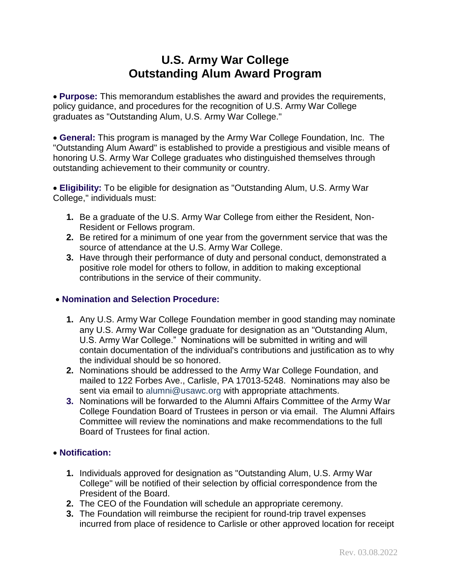# **U.S. Army War College Outstanding Alum Award Program**

 **Purpose:** This memorandum establishes the award and provides the requirements, policy guidance, and procedures for the recognition of U.S. Army War College graduates as "Outstanding Alum, U.S. Army War College."

 **General:** This program is managed by the Army War College Foundation, Inc. The "Outstanding Alum Award" is established to provide a prestigious and visible means of honoring U.S. Army War College graduates who distinguished themselves through outstanding achievement to their community or country.

 **Eligibility:** To be eligible for designation as "Outstanding Alum, U.S. Army War College," individuals must:

- **1.** Be a graduate of the U.S. Army War College from either the Resident, Non-Resident or Fellows program.
- **2.** Be retired for a minimum of one year from the government service that was the source of attendance at the U.S. Army War College.
- **3.** Have through their performance of duty and personal conduct, demonstrated a positive role model for others to follow, in addition to making exceptional contributions in the service of their community.

### **Nomination and Selection Procedure:**

- **1.** Any U.S. Army War College Foundation member in good standing may nominate any U.S. Army War College graduate for designation as an "Outstanding Alum, U.S. Army War College." Nominations will be submitted in writing and will contain documentation of the individual's contributions and justification as to why the individual should be so honored.
- **2.** Nominations should be addressed to the Army War College Foundation, and mailed to 122 Forbes Ave., Carlisle, PA 17013-5248. Nominations may also be sent via email to [alumni@usawc.org](mailto:alumni@usawc.org) with appropriate attachments.
- **3.** Nominations will be forwarded to the Alumni Affairs Committee of the Army War College Foundation Board of Trustees in person or via email. The Alumni Affairs Committee will review the nominations and make recommendations to the full Board of Trustees for final action.

### **Notification:**

- **1.** Individuals approved for designation as "Outstanding Alum, U.S. Army War College" will be notified of their selection by official correspondence from the President of the Board.
- **2.** The CEO of the Foundation will schedule an appropriate ceremony.
- **3.** The Foundation will reimburse the recipient for round-trip travel expenses incurred from place of residence to Carlisle or other approved location for receipt